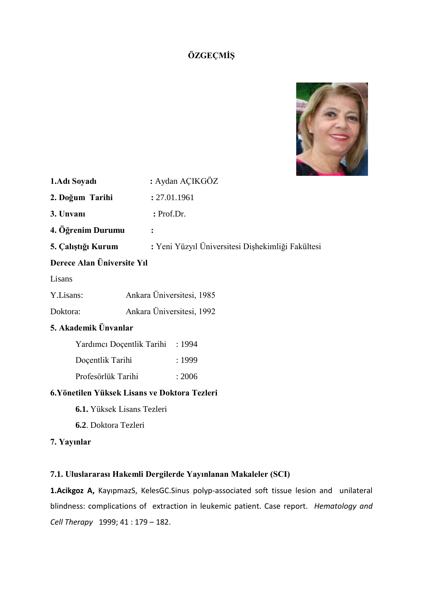# **ÖZGEÇMİŞ**



| 1. Adı Soyadı              | : Aydan AÇIKGÖZ                                   |  |  |
|----------------------------|---------------------------------------------------|--|--|
| 2. Doğum Tarihi            | : 27.01.1961                                      |  |  |
| 3. Unvani                  | $:$ Prof.Dr.                                      |  |  |
| 4. Öğrenim Durumu          |                                                   |  |  |
| 5. Çalıştığı Kurum         | : Yeni Yüzyıl Üniversitesi Dişhekimliği Fakültesi |  |  |
| Derece Alan Üniversite Yıl |                                                   |  |  |
| Lisans                     |                                                   |  |  |
| Y.Lisans:                  | Ankara Üniversitesi, 1985                         |  |  |

Doktora: Ankara Üniversitesi, 1992

# **5. Akademik Ünvanlar**

| Yardımcı Doçentlik Tarihi | : 1994 |
|---------------------------|--------|
| Docentlik Tarihi          | :1999  |
| Profesörlük Tarihi        | : 2006 |

# **6.Yönetilen Yüksek Lisans ve Doktora Tezleri**

- **6.1.** Yüksek Lisans Tezleri
- **6.2**. Doktora Tezleri

# **7. Yayınlar**

# **7.1. Uluslararası Hakemli Dergilerde Yayınlanan Makaleler (SCI)**

**1.Acikgoz A,** KayıpmazS, KelesGC.Sinus polyp-associated soft tissue lesion and unilateral blindness: complications of extraction in leukemic patient. Case report. *Hematology and Cell Therapy* 1999; 41 : 179 – 182.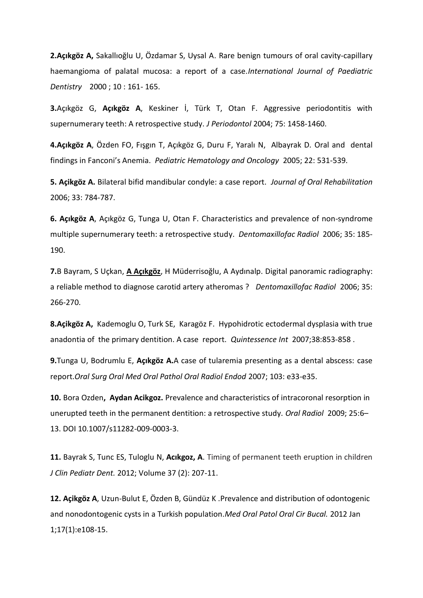**2.Açıkgöz A,** Sakallıoğlu U, Özdamar S, Uysal A. Rare benign tumours of oral cavity-capillary haemangioma of palatal mucosa: a report of a case.*International Journal of Paediatric Dentistry* 2000 ; 10 : 161- 165.

**3.**Açıkgöz G, **Açıkgöz A**, Keskiner İ, Türk T, Otan F. Aggressive periodontitis with supernumerary teeth: A retrospective study. *J Periodontol* 2004; 75: 1458-1460.

**4.Açıkgöz A**, Özden FO, Fışgın T, Açıkgöz G, Duru F, Yaralı N, Albayrak D. Oral and dental findings in Fanconi's Anemia. *Pediatric Hematology and Oncology* 2005; 22: 531-539.

**5. Açikgöz A.** Bilateral bifid mandibular condyle: a case report. *Journal of Oral Rehabilitation*  2006; 33: 784-787.

**6. Açıkgöz A**, Açıkgöz G, Tunga U, Otan F. Characteristics and prevalence of non-syndrome multiple supernumerary teeth: a retrospective study. *Dentomaxillofac Radiol* 2006; 35: 185- 190.

**7.**B Bayram, S Uçkan, **A Açıkgöz**, H Müderrisoğlu, A Aydınalp. Digital panoramic radiography: a reliable method to diagnose carotid artery atheromas ? *Dentomaxillofac Radiol* 2006; 35: 266-270.

**8.Açikgöz A,** Kademoglu O, Turk SE, Karagöz F. Hypohidrotic ectodermal dysplasia with true anadontia of the primary dentition. A case report. *Quintessence Int* 2007;38:853-858 .

**9.**Tunga U, Bodrumlu E, **Açıkgöz A.**A case of tularemia presenting as a dental abscess: case report.*Oral Surg Oral Med Oral Pathol Oral Radiol Endod* 2007; 103: e33-e35.

**10.** Bora Ozden**, Aydan Acikgoz.** Prevalence and characteristics of intracoronal resorption in unerupted teeth in the permanent dentition: a retrospective study. *Oral Radiol* 2009; 25:6– 13. DOI 10.1007/s11282-009-0003-3.

**11.** Bayrak S, Tunc ES, Tuloglu N, **Acıkgoz, A**. Timing of permanent teeth eruption in children *J Clin Pediatr Dent.* 2012; Volume 37 (2): 207-11.

**12. Açikgöz A**, Uzun-Bulut E, Özden B, Gündüz K .[Prevalence and distribution of odontogenic](http://www.ncbi.nlm.nih.gov/pubmed/21743428)  [and nonodontogenic cysts in a Turkish population.](http://www.ncbi.nlm.nih.gov/pubmed/21743428)*Med Oral Patol Oral Cir Bucal.* 2012 Jan 1;17(1):e108-15.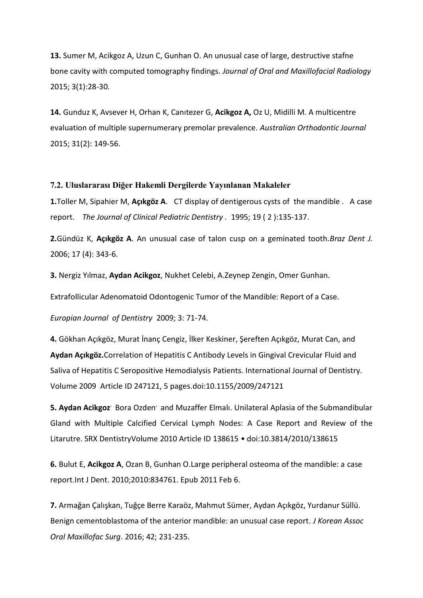**13.** Sumer M, Acikgoz A, Uzun C, Gunhan O. An unusual case of large, destructive stafne bone cavity with computed tomography findings. *Journal of Oral and Maxillofacial Radiology* 2015; 3(1):28-30.

**14.** Gunduz K, Avsever H, Orhan K, Canıtezer G, **Acikgoz A,** Oz U, Midilli M. A multicentre evaluation of multiple supernumerary premolar prevalence. *Australian Orthodontic Journal* 2015; 31(2): 149-56.

## **7.2. Uluslararası Diğer Hakemli Dergilerde Yayınlanan Makaleler**

**1.**Toller M, Sipahier M, **Açıkgöz A**. CT display of dentigerous cysts of the mandible . A case report. *The Journal of Clinical Pediatric Dentistry .* 1995; 19 ( 2 ):135-137.

**2.**Gündüz K, **Açıkgöz A**. An unusual case of talon cusp on a geminated tooth.*Braz Dent J.* 2006; 17 (4): 343-6.

**3.** Nergiz Yılmaz, **Aydan Acikgoz**, Nukhet Celebi, A.Zeynep Zengin, Omer Gunhan.

Extrafollicular Adenomatoid Odontogenic Tumor of the Mandible: Report of a Case.

*Europian Journal of Dentistry* 2009; 3: 71-74.

**4.** [Gökhan Açıkgöz](http://www.hindawi.com/69326430.html), [Murat İnanç Cengiz](http://www.hindawi.com/26235361.html), [İlker Keskiner](http://www.hindawi.com/27397414.html), [Şereften Açıkgöz](http://www.hindawi.com/71296162.html), [Murat Can,](http://www.hindawi.com/97414585.html) and **[Aydan Açıkgöz](http://www.hindawi.com/84927956.html).**Correlation of Hepatitis C Antibody Levels in Gingival Crevicular Fluid and Saliva of Hepatitis C Seropositive Hemodialysis Patients. International Journal of Dentistry. Volume 2009 Article ID 247121, 5 pages.doi:10.1155/2009/247121

5. Aydan Acikgoz<sup>,</sup> Bora Ozden<sup>,</sup> and Muzaffer Elmalı. Unilateral Aplasia of the Submandibular Gland with Multiple Calcified Cervical Lymph Nodes: A Case Report and Review of the Litarutre. SRX DentistryVolume 2010 Article ID 138615 *•* doi:10.3814/2010/138615

**6.** Bulut E, **Acikgoz A**, Ozan B, Gunhan O[.Large peripheral osteoma of the mandible: a case](http://www.ncbi.nlm.nih.gov/pubmed/21331372)  [report.I](http://www.ncbi.nlm.nih.gov/pubmed/21331372)nt J Dent. 2010;2010:834761. Epub 2011 Feb 6.

**7.** Armağan Çalışkan, Tuğçe Berre Karaöz, Mahmut Sümer, Aydan Açıkgöz, Yurdanur Süllü. Benign cementoblastoma of the anterior mandible: an unusual case report*. J Korean Assoc Oral Maxillofac Surg*. 2016; 42; 231-235.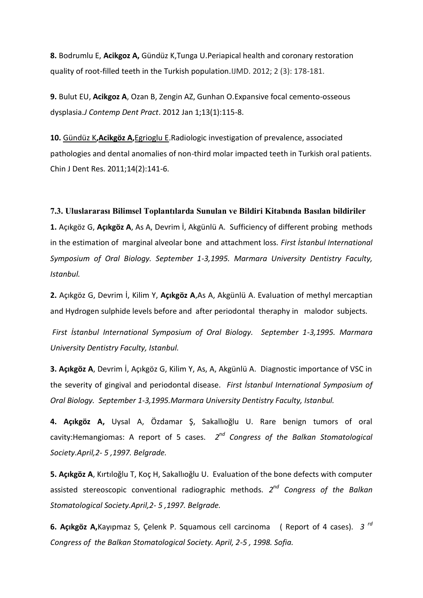**8.** Bodrumlu E, **Acikgoz A,** Gündüz K,Tunga U.Periapical health and coronary restoration quality of root-filled teeth in the Turkish population.IJMD. 2012; 2 (3): 178-181.

**9.** Bulut EU, **Acikgoz A**, Ozan B, Zengin AZ, Gunhan O[.Expansive focal cemento-osseous](http://www.ncbi.nlm.nih.gov/pubmed/22430704)  [dysplasia.](http://www.ncbi.nlm.nih.gov/pubmed/22430704)*J Contemp Dent Pract*. 2012 Jan 1;13(1):115-8.

**10.** [Gündüz K](http://www.ncbi.nlm.nih.gov/pubmed?term=G%C3%BCnd%C3%BCz%20K%5BAuthor%5D&cauthor=true&cauthor_uid=22319756)**,[Acikgöz A](http://www.ncbi.nlm.nih.gov/pubmed?term=Acikg%C3%B6z%20A%5BAuthor%5D&cauthor=true&cauthor_uid=22319756),**[Egrioglu E.](http://www.ncbi.nlm.nih.gov/pubmed?term=Egrioglu%20E%5BAuthor%5D&cauthor=true&cauthor_uid=22319756)Radiologic investigation of prevalence, associated pathologies and dental anomalies of non-third molar impacted teeth in Turkish oral patients. Chin J Dent Res. 2011;14(2):141-6.

### **7.3. Uluslararası Bilimsel Toplantılarda Sunulan ve Bildiri Kitabında Basılan bildiriler**

**1.** Açıkgöz G, **Açıkgöz A**, As A, Devrim İ, Akgünlü A. Sufficiency of different probing methods in the estimation of marginal alveolar bone and attachment loss. *First İstanbul International Symposium of Oral Biology. September 1-3,1995. Marmara University Dentistry Faculty, Istanbul.*

**2.** Açıkgöz G, Devrim İ, Kilim Y, **Açıkgöz A**,As A, Akgünlü A. Evaluation of methyl mercaptian and Hydrogen sulphide levels before and after periodontal theraphy in malodor subjects.

*First İstanbul International Symposium of Oral Biology. September 1-3,1995. Marmara University Dentistry Faculty, Istanbul.*

**3. Açıkgöz A**, Devrim İ, Açıkgöz G, Kilim Y, As, A, Akgünlü A. Diagnostic importance of VSC in the severity of gingival and periodontal disease. *First İstanbul International Symposium of Oral Biology. September 1-3,1995.Marmara University Dentistry Faculty, Istanbul.*

**4. Açıkgöz A,** Uysal A, Özdamar Ş, Sakallıoğlu U. Rare benign tumors of oral cavity:Hemangiomas: A report of 5 cases. *2 nd Congress of the Balkan Stomatological Society.April,2- 5 ,1997. Belgrade.*

**5. Açıkgöz A**, Kırtıloğlu T, Koç H, Sakallıoğlu U. Evaluation of the bone defects with computer assisted stereoscopic conventional radiographic methods. *2 nd Congress of the Balkan Stomatological Society.April,2- 5 ,1997. Belgrade.*

**6. Açıkgöz A,**Kayıpmaz S, Çelenk P. Squamous cell carcinoma ( Report of 4 cases). *3 rd Congress of the Balkan Stomatological Society. April, 2-5 , 1998. Sofia.*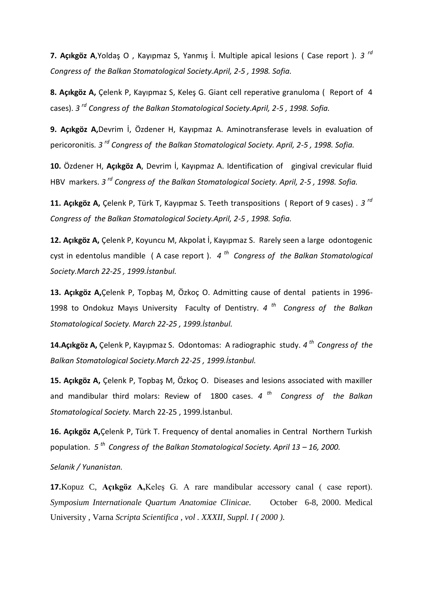**7. Açıkgöz A**,Yoldaş O , Kayıpmaz S, Yanmış İ. Multiple apical lesions ( Case report ). *3 rd Congress of the Balkan Stomatological Society.April, 2-5 , 1998. Sofia.*

**8. Açıkgöz A,** Çelenk P, Kayıpmaz S, Keleş G. Giant cell reperative granuloma ( Report of 4 cases). *3 rd Congress of the Balkan Stomatological Society.April, 2-5 , 1998. Sofia.*

**9. Açıkgöz A,**Devrim İ, Özdener H, Kayıpmaz A. Aminotransferase levels in evaluation of pericoronitis*. 3 rd Congress of the Balkan Stomatological Society. April, 2-5 , 1998. Sofia.*

**10.** Özdener H, **Açıkgöz A**, Devrim İ, Kayıpmaz A. Identification of gingival crevicular fluid HBV markers. *3 rd Congress of the Balkan Stomatological Society. April, 2-5 , 1998. Sofia.*

**11. Açıkgöz A,** Çelenk P, Türk T, Kayıpmaz S. Teeth transpositions ( Report of 9 cases) . *3 rd Congress of the Balkan Stomatological Society.April, 2-5 , 1998. Sofia.*

**12. Açıkgöz A,** Çelenk P, Koyuncu M, Akpolat İ, Kayıpmaz S. Rarely seen a large odontogenic cyst in edentolus mandible ( A case report ). *4 th Congress of the Balkan Stomatological Society.March 22-25 , 1999.İstanbul.*

**13. Açıkgöz A,**Çelenk P, Topbaş M, Özkoç O. Admitting cause of dental patients in 1996- 1998 to Ondokuz Mayıs University Faculty of Dentistry. *4 th Congress of the Balkan Stomatological Society. March 22-25 , 1999.İstanbul.*

**14.Açıkgöz A,** Çelenk P, Kayıpmaz S. Odontomas: A radiographic study. *4 th Congress of the Balkan Stomatological Society.March 22-25 , 1999.İstanbul.*

**15. Açıkgöz A,** Çelenk P, Topbaş M, Özkoç O. Diseases and lesions associated with maxiller and mandibular third molars: Review of 1800 cases. *4 th Congress of the Balkan Stomatological Society.* March 22-25 , 1999.İstanbul.

**16. Açıkgöz A,**Çelenk P, Türk T. Frequency of dental anomalies in Central Northern Turkish population. *5 th Congress of the Balkan Stomatological Society. April 13 – 16, 2000.* 

*Selanik / Yunanistan.*

**17.**Kopuz C, **Açıkgöz A,**Keleş G. A rare mandibular accessory canal ( case report). *Symposium Internationale Quartum Anatomiae Clinicae.* October 6-8, 2000. Medical University , Varna *Scripta Scientifica , vol . XXXII, Suppl. I ( 2000 ).*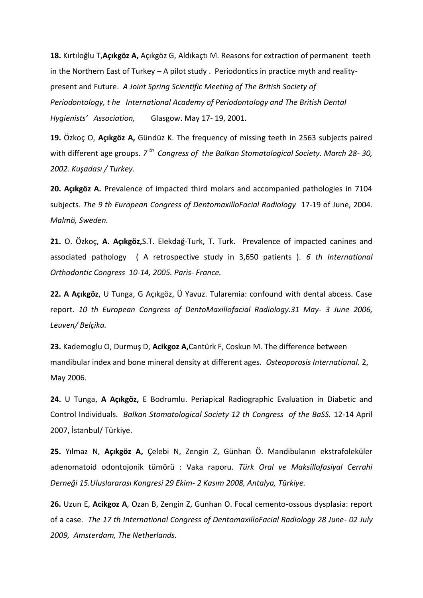**18.** Kırtıloğlu T,**Açıkgöz A,** Açıkgöz G, Aldıkaçtı M. Reasons for extraction of permanent teeth in the Northern East of Turkey  $- A$  pilot study . Periodontics in practice myth and realitypresent and Future. *A Joint Spring Scientific Meeting of The British Society of Periodontology, t he International Academy of Periodontology and The British Dental Hygienists' Association,* Glasgow. May 17- 19, 2001.

**19.** Özkoç O, **Açıkgöz A,** Gündüz K. The frequency of missing teeth in 2563 subjects paired with different age groups. *7 th Congress of the Balkan Stomatological Society. March 28- 30, 2002. Kuşadası / Turkey*.

**20. Açıkgöz A.** Prevalence of impacted third molars and accompanied pathologies in 7104 subjects. *The 9 th European Congress of DentomaxilloFacial Radiology* 17-19 of June, 2004. *Malmö, Sweden.*

**21.** O. Özkoç, **A. Açıkgöz,**S.T. Elekdağ-Turk, T. Turk. Prevalence of impacted canines and associated pathology ( A retrospective study in 3,650 patients ). *6 th International Orthodontic Congress 10-14, 2005. Paris- France.*

**22. A Açıkgöz**, U Tunga, G Açıkgöz, Ü Yavuz. Tularemia: confound with dental abcess. Case report. *10 th European Congress of DentoMaxillofacial Radiology.31 May- 3 June 2006, Leuven/ Belçika.*

**23.** Kademoglu O, Durmuş D, **Acikgoz A,**Cantürk F, Coskun M. The difference between mandibular index and bone mineral density at different ages. *Osteoporosis International.* 2, May 2006.

**24.** U Tunga, **A Açıkgöz,** E Bodrumlu. Periapical Radiographic Evaluation in Diabetic and Control Individuals. *Balkan Stomatological Society 12 th Congress of the BaSS.* 12-14 April 2007, İstanbul/ Türkiye.

**25.** Yılmaz N, **Açıkgöz A,** Çelebi N, Zengin Z, Günhan Ö. Mandibulanın ekstrafoleküler adenomatoid odontojonik tümörü : Vaka raporu. *Türk Oral ve Maksillofasiyal Cerrahi Derneği 15.Uluslararası Kongresi 29 Ekim- 2 Kasım 2008, Antalya, Türkiye.*

**26.** Uzun E, **Acikgoz A**, Ozan B, Zengin Z, Gunhan O. Focal cemento-ossous dysplasia: report of a case. *The 17 th International Congress of DentomaxilloFacial Radiology 28 June- 02 July 2009, Amsterdam, The Netherlands.*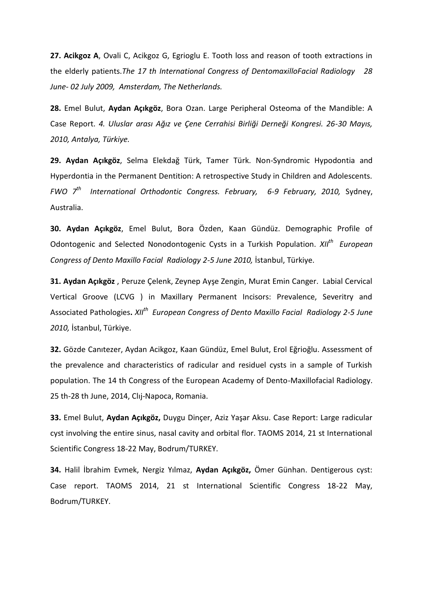**27. Acikgoz A**, Ovali C, Acikgoz G, Egrioglu E. Tooth loss and reason of tooth extractions in the elderly patients.*The 17 th International Congress of DentomaxilloFacial Radiology 28 June- 02 July 2009, Amsterdam, The Netherlands.*

**28.** Emel Bulut, **Aydan Açıkgöz**, Bora Ozan. Large Peripheral Osteoma of the Mandible: A Case Report. *4. Uluslar arası Ağız ve Çene Cerrahisi Birliği Derneği Kongresi. 26-30 Mayıs, 2010, Antalya, Türkiye.*

**29. Aydan Açıkgöz**, Selma Elekdağ Türk, Tamer Türk. Non-Syndromic Hypodontia and Hyperdontia in the Permanent Dentition: A retrospective Study in Children and Adolescents. *FWO 7th International Orthodontic Congress. February, 6-9 February, 2010,* Sydney, Australia.

**30. Aydan Açıkgöz**, Emel Bulut, Bora Özden, Kaan Gündüz. Demographic Profile of Odontogenic and Selected Nonodontogenic Cysts in a Turkish Population. *XIIth European Congress of Dento Maxillo Facial Radiology 2-5 June 2010,* İstanbul, Türkiye.

**31. Aydan Açıkgöz** , Peruze Çelenk, Zeynep Ayşe Zengin, Murat Emin Canger. Labial Cervical Vertical Groove (LCVG ) in Maxillary Permanent Incisors: Prevalence, Severitry and Associated Pathologies**.** *XIIth European Congress of Dento Maxillo Facial Radiology 2-5 June 2010,* İstanbul, Türkiye.

**32.** Gözde Canıtezer, Aydan Acikgoz, Kaan Gündüz, Emel Bulut, Erol Eğrioğlu. Assessment of the prevalence and characteristics of radicular and residuel cysts in a sample of Turkish population. The 14 th Congress of the European Academy of Dento-Maxillofacial Radiology. 25 th-28 th June, 2014, Clıj-Napoca, Romania.

**33.** Emel Bulut, **Aydan Açıkgöz,** Duygu Dinçer, Aziz Yaşar Aksu. Case Report: Large radicular cyst involving the entire sinus, nasal cavity and orbital flor. TAOMS 2014, 21 st International Scientific Congress 18-22 May, Bodrum/TURKEY.

**34.** Halil İbrahim Evmek, Nergiz Yılmaz, **Aydan Açıkgöz,** Ömer Günhan. Dentigerous cyst: Case report. TAOMS 2014, 21 st International Scientific Congress 18-22 May, Bodrum/TURKEY.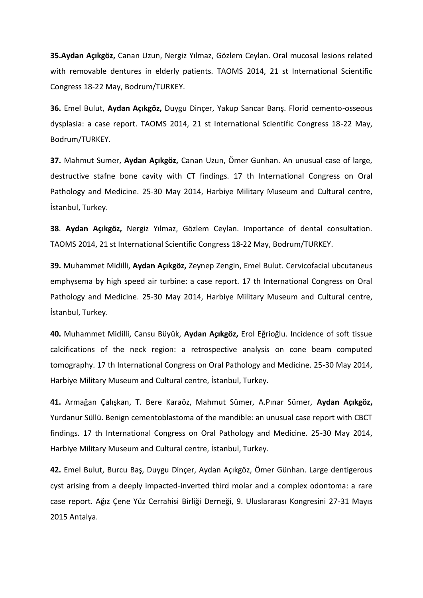**35.Aydan Açıkgöz,** Canan Uzun, Nergiz Yılmaz, Gözlem Ceylan. Oral mucosal lesions related with removable dentures in elderly patients. TAOMS 2014, 21 st International Scientific Congress 18-22 May, Bodrum/TURKEY.

**36.** Emel Bulut, **Aydan Açıkgöz,** Duygu Dinçer, Yakup Sancar Barış. Florid cemento-osseous dysplasia: a case report. TAOMS 2014, 21 st International Scientific Congress 18-22 May, Bodrum/TURKEY.

**37.** Mahmut Sumer, **Aydan Açıkgöz,** Canan Uzun, Ömer Gunhan. An unusual case of large, destructive stafne bone cavity with CT findings. 17 th International Congress on Oral Pathology and Medicine. 25-30 May 2014, Harbiye Military Museum and Cultural centre, İstanbul, Turkey.

**38**. **Aydan Açıkgöz,** Nergiz Yılmaz, Gözlem Ceylan. Importance of dental consultation. TAOMS 2014, 21 st International Scientific Congress 18-22 May, Bodrum/TURKEY.

**39.** Muhammet Midilli, **Aydan Açıkgöz,** Zeynep Zengin, Emel Bulut. Cervicofacial ubcutaneus emphysema by high speed air turbine: a case report. 17 th International Congress on Oral Pathology and Medicine. 25-30 May 2014, Harbiye Military Museum and Cultural centre, İstanbul, Turkey.

**40.** Muhammet Midilli, Cansu Büyük, **Aydan Açıkgöz,** Erol Eğrioğlu. Incidence of soft tissue calcifications of the neck region: a retrospective analysis on cone beam computed tomography. 17 th International Congress on Oral Pathology and Medicine. 25-30 May 2014, Harbiye Military Museum and Cultural centre, İstanbul, Turkey.

**41.** Armağan Çalışkan, T. Bere Karaöz, Mahmut Sümer, A.Pınar Sümer, **Aydan Açıkgöz,** Yurdanur Süllü. Benign cementoblastoma of the mandible: an unusual case report with CBCT findings. 17 th International Congress on Oral Pathology and Medicine. 25-30 May 2014, Harbiye Military Museum and Cultural centre, İstanbul, Turkey.

**42.** Emel Bulut, Burcu Baş, Duygu Dinçer, Aydan Açıkgöz, Ömer Günhan. Large dentigerous cyst arising from a deeply impacted-inverted third molar and a complex odontoma: a rare case report. Ağız Çene Yüz Cerrahisi Birliği Derneği, 9. Uluslararası Kongresini 27-31 Mayıs 2015 Antalya.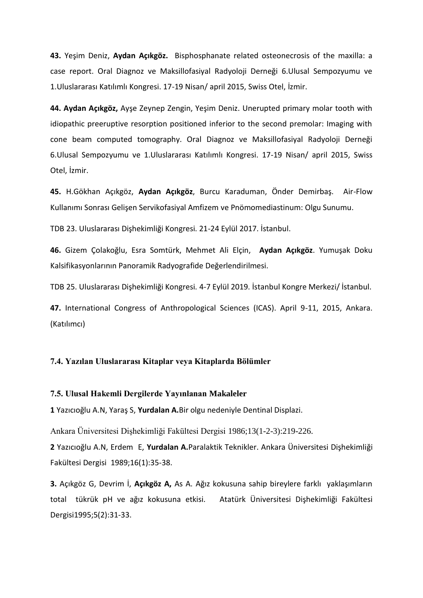**43.** Yeşim Deniz, **Aydan Açıkgöz.** Bisphosphanate related osteonecrosis of the maxilla: a case report. Oral Diagnoz ve Maksillofasiyal Radyoloji Derneği 6.Ulusal Sempozyumu ve 1.Uluslararası Katılımlı Kongresi. 17-19 Nisan/ april 2015, Swiss Otel, İzmir.

**44. Aydan Açıkgöz,** Ayşe Zeynep Zengin, Yeşim Deniz. Unerupted primary molar tooth with idiopathic preeruptive resorption positioned inferior to the second premolar: Imaging with cone beam computed tomography. Oral Diagnoz ve Maksillofasiyal Radyoloji Derneği 6.Ulusal Sempozyumu ve 1.Uluslararası Katılımlı Kongresi. 17-19 Nisan/ april 2015, Swiss Otel, İzmir.

**45.** H.Gökhan Açıkgöz, **Aydan Açıkgöz**, Burcu Karaduman, Önder Demirbaş. Air-Flow Kullanımı Sonrası Gelişen Servikofasiyal Amfizem ve Pnömomediastinum: Olgu Sunumu.

TDB 23. Uluslararası Dişhekimliği Kongresi. 21-24 Eylül 2017. İstanbul.

**46.** Gizem Çolakoğlu, Esra Somtürk, Mehmet Ali Elçin, **Aydan Açıkgöz**. Yumuşak Doku Kalsifikasyonlarının Panoramik Radyografide Değerlendirilmesi.

TDB 25. Uluslararası Dişhekimliği Kongresi. 4-7 Eylül 2019. İstanbul Kongre Merkezi/ İstanbul.

**47.** International Congress of Anthropological Sciences (ICAS). April 9-11, 2015, Ankara. (Katılımcı)

## **7.4. Yazılan Uluslararası Kitaplar veya Kitaplarda Bölümler**

## **7.5. Ulusal Hakemli Dergilerde Yayınlanan Makaleler**

**1** Yazıcıoğlu A.N, Yaraş S, **Yurdalan A.**Bir olgu nedeniyle Dentinal Displazi.

Ankara Üniversitesi Dişhekimliği Fakültesi Dergisi 1986;13(1-2-3):219-226.

**2** Yazıcıoğlu A.N, Erdem E, **Yurdalan A.**Paralaktik Teknikler. Ankara Üniversitesi Dişhekimliği Fakültesi Dergisi 1989;16(1):35-38.

**3.** Açıkgöz G, Devrim İ, **Açıkgöz A,** As A. Ağız kokusuna sahip bireylere farklı yaklaşımların total tükrük pH ve ağız kokusuna etkisi*.* Atatürk Üniversitesi Dişhekimliği Fakültesi Dergisi1995;5(2):31-33.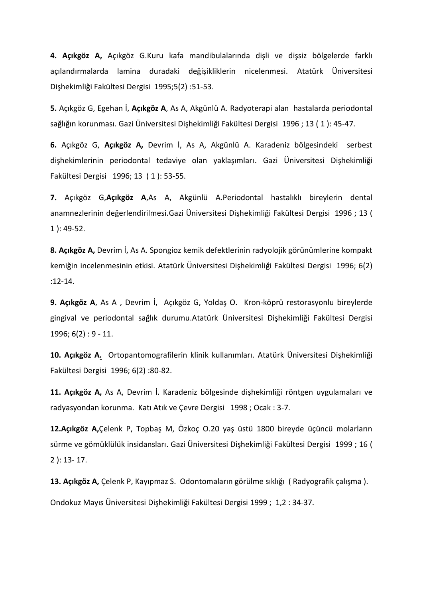**4. Açıkgöz A,** Açıkgöz G.Kuru kafa mandibulalarında dişli ve dişsiz bölgelerde farklı açılandırmalarda lamina duradaki değişikliklerin nicelenmesi. Atatürk Üniversitesi Dişhekimliği Fakültesi Dergisi 1995;5(2) :51-53.

**5.** Açıkgöz G, Egehan İ, **Açıkgöz A**, As A, Akgünlü A. Radyoterapi alan hastalarda periodontal sağlığın korunması. Gazi Üniversitesi Dişhekimliği Fakültesi Dergisi 1996 ; 13 ( 1 ): 45-47.

**6.** Açıkgöz G, **Açıkgöz A,** Devrim İ, As A, Akgünlü A. Karadeniz bölgesindeki serbest dişhekimlerinin periodontal tedaviye olan yaklaşımları. Gazi Üniversitesi Dişhekimliği Fakültesi Dergisi 1996; 13 ( 1 ): 53-55.

**7.** Açıkgöz G,**Açıkgöz A**,As A, Akgünlü A.Periodontal hastalıklı bireylerin dental anamnezlerinin değerlendirilmesi.Gazi Üniversitesi Dişhekimliği Fakültesi Dergisi 1996 ; 13 ( 1 ): 49-52.

**8. Açıkgöz A,** Devrim İ, As A. Spongioz kemik defektlerinin radyolojik görünümlerine kompakt kemiğin incelenmesinin etkisi. Atatürk Üniversitesi Dişhekimliği Fakültesi Dergisi 1996; 6(2) :12-14.

**9. Açıkgöz A**, As A , Devrim İ, Açıkgöz G, Yoldaş O. Kron-köprü restorasyonlu bireylerde gingival ve periodontal sağlık durumu.Atatürk Üniversitesi Dişhekimliği Fakültesi Dergisi 1996; 6(2) : 9 - 11.

**10. Açıkgöz A.** Ortopantomografilerin klinik kullanımları. Atatürk Üniversitesi Dişhekimliği Fakültesi Dergisi 1996; 6(2) :80-82.

**11. Açıkgöz A,** As A, Devrim İ. Karadeniz bölgesinde dişhekimliği röntgen uygulamaları ve radyasyondan korunma. Katı Atık ve Çevre Dergisi 1998 ; Ocak : 3-7.

**12.Açıkgöz A,**Çelenk P, Topbaş M, Özkoç O.20 yaş üstü 1800 bireyde üçüncü molarların sürme ve gömüklülük insidansları. Gazi Üniversitesi Dişhekimliği Fakültesi Dergisi 1999 ; 16 ( 2 ): 13- 17.

**13. Açıkgöz A,** Çelenk P, Kayıpmaz S. Odontomaların görülme sıklığı ( Radyografik çalışma ).

Ondokuz Mayıs Üniversitesi Dişhekimliği Fakültesi Dergisi 1999 ; 1,2 : 34-37.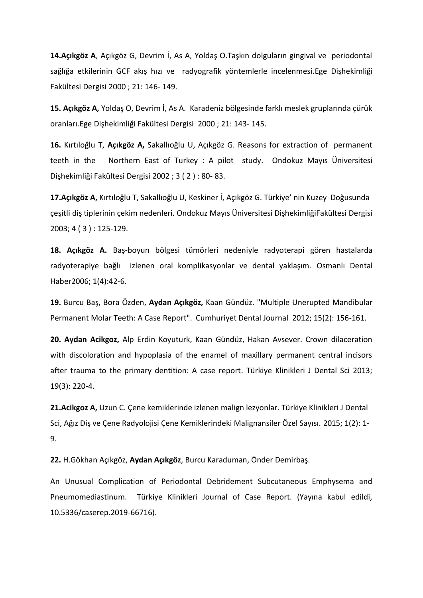**14.Açıkgöz A**, Açıkgöz G, Devrim İ, As A, Yoldaş O.Taşkın dolguların gingival ve periodontal sağlığa etkilerinin GCF akış hızı ve radyografik yöntemlerle incelenmesi.Ege Dişhekimliği Fakültesi Dergisi 2000 ; 21: 146- 149.

**15. Açıkgöz A,** Yoldaş O, Devrim İ, As A. Karadeniz bölgesinde farklı meslek gruplarında çürük oranları.Ege Dişhekimliği Fakültesi Dergisi 2000 ; 21: 143- 145.

**16.** Kırtıloğlu T, **Açıkgöz A,** Sakallıoğlu U, Açıkgöz G. Reasons for extraction of permanent teeth in the Northern East of Turkey : A pilot study. Ondokuz Mayıs Üniversitesi Dişhekimliği Fakültesi Dergisi 2002 ; 3 ( 2 ) : 80- 83.

**17.Açıkgöz A,** Kırtıloğlu T, Sakallıoğlu U, Keskiner İ, Açıkgöz G. Türkiye' nin Kuzey Doğusunda çeşitli diş tiplerinin çekim nedenleri. Ondokuz Mayıs Üniversitesi DişhekimliğiFakültesi Dergisi 2003; 4 ( 3 ) : 125-129.

**18. Açıkgöz A.** Baş-boyun bölgesi tümörleri nedeniyle radyoterapi gören hastalarda radyoterapiye bağlı izlenen oral komplikasyonlar ve dental yaklaşım. Osmanlı Dental Haber2006; 1(4):42-6.

**19.** Burcu Baş, Bora Özden, **Aydan Açıkgöz,** Kaan Gündüz. "Multiple Unerupted Mandibular Permanent Molar Teeth: A Case Report". Cumhuriyet Dental Journal 2012; 15(2): 156-161.

**20. Aydan Acikgoz,** Alp Erdin Koyuturk, Kaan Gündüz, Hakan Avsever. Crown dilaceration with discoloration and hypoplasia of the enamel of maxillary permanent central incisors after trauma to the primary dentition: A case report. Türkiye Klinikleri J Dental Sci 2013; 19(3): 220-4.

**21.Acikgoz A,** Uzun C. Çene kemiklerinde izlenen malign lezyonlar. Türkiye Klinikleri J Dental Sci, Ağız Diş ve Çene Radyolojisi Çene Kemiklerindeki Malignansiler Özel Sayısı. 2015; 1(2): 1- 9.

**22.** H.Gökhan Açıkgöz, **Aydan Açıkgöz**, Burcu Karaduman, Önder Demirbaş.

An Unusual Complication of Periodontal Debridement Subcutaneous Emphysema and Pneumomediastinum. Türkiye Klinikleri Journal of Case Report. (Yayına kabul edildi, 10.5336/caserep.2019-66716).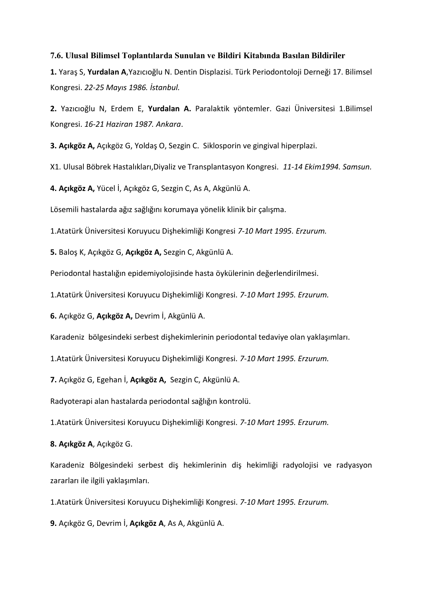### **7.6. Ulusal Bilimsel Toplantılarda Sunulan ve Bildiri Kitabında Basılan Bildiriler**

**1.** Yaraş S, **Yurdalan A**,Yazıcıoğlu N. Dentin Displazisi. Türk Periodontoloji Derneği 17. Bilimsel Kongresi. *22-25 Mayıs 1986. İstanbul.*

**2.** Yazıcıoğlu N, Erdem E, **Yurdalan A.** Paralaktik yöntemler. Gazi Üniversitesi 1.Bilimsel Kongresi. *16-21 Haziran 1987. Ankara*.

**3. Açıkgöz A,** Açıkgöz G, Yoldaş O, Sezgin C. Siklosporin ve gingival hiperplazi.

X1. Ulusal Böbrek Hastalıkları,Diyaliz ve Transplantasyon Kongresi. *11-14 Ekim1994. Samsun.*

**4. Açıkgöz A,** Yücel İ, Açıkgöz G, Sezgin C, As A, Akgünlü A.

Lösemili hastalarda ağız sağlığını korumaya yönelik klinik bir çalışma.

1.Atatürk Üniversitesi Koruyucu Dişhekimliği Kongresi *7-10 Mart 1995. Erzurum.*

**5.** Baloş K, Açıkgöz G, **Açıkgöz A,** Sezgin C, Akgünlü A.

Periodontal hastalığın epidemiyolojisinde hasta öykülerinin değerlendirilmesi.

1.Atatürk Üniversitesi Koruyucu Dişhekimliği Kongresi. *7-10 Mart 1995. Erzurum.*

**6.** Açıkgöz G, **Açıkgöz A,** Devrim İ, Akgünlü A.

Karadeniz bölgesindeki serbest dişhekimlerinin periodontal tedaviye olan yaklaşımları.

1.Atatürk Üniversitesi Koruyucu Dişhekimliği Kongresi. *7-10 Mart 1995. Erzurum.*

**7.** Açıkgöz G, Egehan İ, **Açıkgöz A,** Sezgin C, Akgünlü A.

Radyoterapi alan hastalarda periodontal sağlığın kontrolü.

1.Atatürk Üniversitesi Koruyucu Dişhekimliği Kongresi. *7-10 Mart 1995. Erzurum.*

**8. Açıkgöz A**, Açıkgöz G.

Karadeniz Bölgesindeki serbest diş hekimlerinin diş hekimliği radyolojisi ve radyasyon zararları ile ilgili yaklaşımları.

1.Atatürk Üniversitesi Koruyucu Dişhekimliği Kongresi. *7-10 Mart 1995. Erzurum.*

**9.** Açıkgöz G, Devrim İ, **Açıkgöz A**, As A, Akgünlü A.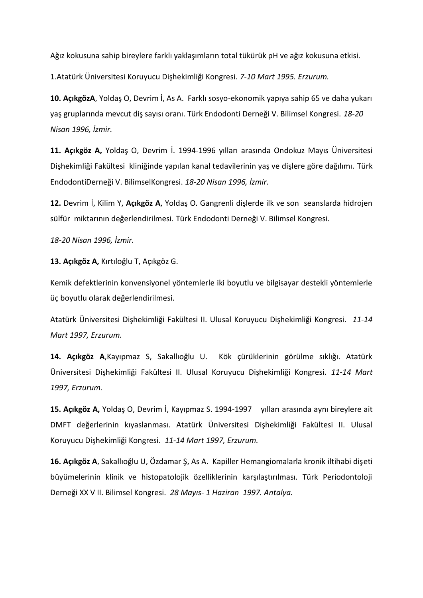Ağız kokusuna sahip bireylere farklı yaklaşımların total tükürük pH ve ağız kokusuna etkisi.

1.Atatürk Üniversitesi Koruyucu Dişhekimliği Kongresi. *7-10 Mart 1995. Erzurum.*

**10. AçıkgözA**, Yoldaş O, Devrim İ, As A. Farklı sosyo-ekonomik yapıya sahip 65 ve daha yukarı yaş gruplarında mevcut diş sayısı oranı. Türk Endodonti Derneği V. Bilimsel Kongresi. *18-20 Nisan 1996, İzmir.*

**11. Açıkgöz A,** Yoldaş O, Devrim İ. 1994-1996 yılları arasında Ondokuz Mayıs Üniversitesi Dişhekimliği Fakültesi kliniğinde yapılan kanal tedavilerinin yaş ve dişlere göre dağılımı. Türk EndodontiDerneği V. BilimselKongresi. *18-20 Nisan 1996, İzmir.*

**12.** Devrim İ, Kilim Y, **Açıkgöz A**, Yoldaş O. Gangrenli dişlerde ilk ve son seanslarda hidrojen sülfür miktarının değerlendirilmesi. Türk Endodonti Derneği V. Bilimsel Kongresi.

*18-20 Nisan 1996, İzmir.*

**13. Açıkgöz A,** Kırtıloğlu T, Açıkgöz G.

Kemik defektlerinin konvensiyonel yöntemlerle iki boyutlu ve bilgisayar destekli yöntemlerle üç boyutlu olarak değerlendirilmesi.

Atatürk Üniversitesi Dişhekimliği Fakültesi II. Ulusal Koruyucu Dişhekimliği Kongresi. *11-14 Mart 1997, Erzurum.*

**14. Açıkgöz A**,Kayıpmaz S, Sakallıoğlu U. Kök çürüklerinin görülme sıklığı. Atatürk Üniversitesi Dişhekimliği Fakültesi II. Ulusal Koruyucu Dişhekimliği Kongresi. *11-14 Mart 1997, Erzurum.*

**15. Açıkgöz A,** Yoldaş O, Devrim İ, Kayıpmaz S. 1994-1997 yılları arasında aynı bireylere ait DMFT değerlerinin kıyaslanması. Atatürk Üniversitesi Dişhekimliği Fakültesi II. Ulusal Koruyucu Dişhekimliği Kongresi. *11-14 Mart 1997, Erzurum.*

**16. Açıkgöz A**, Sakallıoğlu U, Özdamar Ş, As A. Kapiller Hemangiomalarla kronik iltihabi dişeti büyümelerinin klinik ve histopatolojik özelliklerinin karşılaştırılması. Türk Periodontoloji Derneği XX V II. Bilimsel Kongresi. *28 Mayıs- 1 Haziran 1997. Antalya.*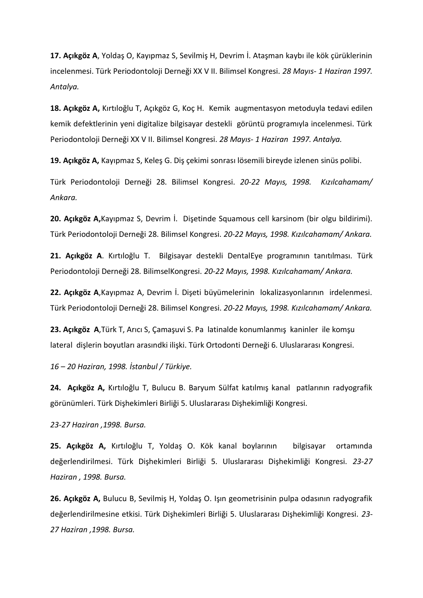**17. Açıkgöz A**, Yoldaş O, Kayıpmaz S, Sevilmiş H, Devrim İ. Ataşman kaybı ile kök çürüklerinin incelenmesi. Türk Periodontoloji Derneği XX V II. Bilimsel Kongresi. *28 Mayıs- 1 Haziran 1997. Antalya.*

**18. Açıkgöz A,** Kırtıloğlu T, Açıkgöz G, Koç H. Kemik augmentasyon metoduyla tedavi edilen kemik defektlerinin yeni digitalize bilgisayar destekli görüntü programıyla incelenmesi. Türk Periodontoloji Derneği XX V II. Bilimsel Kongresi. *28 Mayıs- 1 Haziran 1997. Antalya.*

**19. Açıkgöz A,** Kayıpmaz S, Keleş G. Diş çekimi sonrası lösemili bireyde izlenen sinüs polibi.

Türk Periodontoloji Derneği 28. Bilimsel Kongresi. *20-22 Mayıs, 1998. Kızılcahamam/ Ankara.*

**20. Açıkgöz A,**Kayıpmaz S, Devrim İ. Dişetinde Squamous cell karsinom (bir olgu bildirimi). Türk Periodontoloji Derneği 28. Bilimsel Kongresi. *20-22 Mayıs, 1998. Kızılcahamam/ Ankara.*

**21. Açıkgöz A**. Kırtıloğlu T. Bilgisayar destekli DentalEye programının tanıtılması. Türk Periodontoloji Derneği 28. BilimselKongresi. *20-22 Mayıs, 1998. Kızılcahamam/ Ankara.*

**22. Açıkgöz A**,Kayıpmaz A, Devrim İ. Dişeti büyümelerinin lokalizasyonlarının irdelenmesi. Türk Periodontoloji Derneği 28. Bilimsel Kongresi. *20-22 Mayıs, 1998. Kızılcahamam/ Ankara.*

**23. Açıkgöz A**,Türk T, Arıcı S, Çamaşuvi S. Pa latinalde konumlanmış kaninler ile komşu lateral dişlerin boyutları arasındki ilişki. Türk Ortodonti Derneği 6. Uluslararası Kongresi.

*16 – 20 Haziran, 1998. İstanbul / Türkiye.*

**24. Açıkgöz A,** Kırtıloğlu T, Bulucu B. Baryum Sülfat katılmış kanal patlarının radyografik görünümleri. Türk Dişhekimleri Birliği 5. Uluslararası Dişhekimliği Kongresi.

*23-27 Haziran ,1998. Bursa.*

**25. Açıkgöz A,** Kırtıloğlu T, Yoldaş O. Kök kanal boylarının bilgisayar ortamında değerlendirilmesi. Türk Dişhekimleri Birliği 5. Uluslararası Dişhekimliği Kongresi. *23-27 Haziran , 1998. Bursa.*

**26. Açıkgöz A,** Bulucu B, Sevilmiş H, Yoldaş O. Işın geometrisinin pulpa odasının radyografik değerlendirilmesine etkisi. Türk Dişhekimleri Birliği 5. Uluslararası Dişhekimliği Kongresi. *23- 27 Haziran ,1998. Bursa.*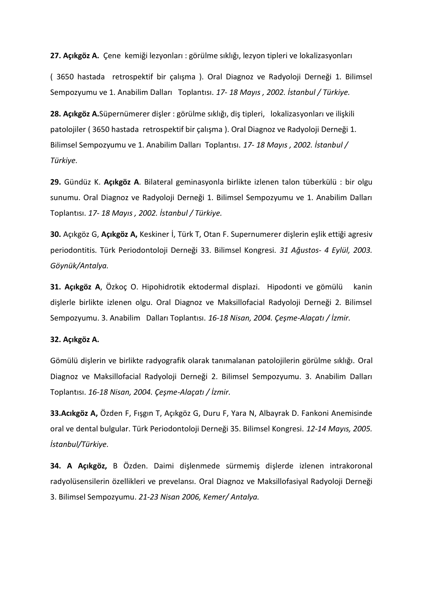**27. Açıkgöz A.** Çene kemiği lezyonları : görülme sıklığı, lezyon tipleri ve lokalizasyonları

( 3650 hastada retrospektif bir çalışma ). Oral Diagnoz ve Radyoloji Derneği 1. Bilimsel Sempozyumu ve 1. Anabilim Dalları Toplantısı. *17- 18 Mayıs , 2002. İstanbul / Türkiye.*

**28. Açıkgöz A.**Süpernümerer dişler : görülme sıklığı, diş tipleri, lokalizasyonları ve ilişkili patolojiler ( 3650 hastada retrospektif bir çalışma ). Oral Diagnoz ve Radyoloji Derneği 1. Bilimsel Sempozyumu ve 1. Anabilim Dalları Toplantısı. *17- 18 Mayıs , 2002. İstanbul / Türkiye.*

**29.** Gündüz K. **Açıkgöz A**. Bilateral geminasyonla birlikte izlenen talon tüberkülü : bir olgu sunumu. Oral Diagnoz ve Radyoloji Derneği 1. Bilimsel Sempozyumu ve 1. Anabilim Dalları Toplantısı. *17- 18 Mayıs , 2002. İstanbul / Türkiye.*

**30.** Açıkgöz G, **Açıkgöz A,** Keskiner İ, Türk T, Otan F. Supernumerer dişlerin eşlik ettiği agresiv periodontitis. Türk Periodontoloji Derneği 33. Bilimsel Kongresi. *31 Ağustos- 4 Eylül, 2003. Göynük/Antalya.* 

**31. Açıkgöz A**, Özkoç O. Hipohidrotik ektodermal displazi. Hipodonti ve gömülü kanin dişlerle birlikte izlenen olgu. Oral Diagnoz ve Maksillofacial Radyoloji Derneği 2. Bilimsel Sempozyumu. 3. Anabilim Dalları Toplantısı. *16-18 Nisan, 2004. Çeşme-Alaçatı / İzmir.*

## **32. Açıkgöz A.**

Gömülü dişlerin ve birlikte radyografik olarak tanımalanan patolojilerin görülme sıklığı. Oral Diagnoz ve Maksillofacial Radyoloji Derneği 2. Bilimsel Sempozyumu. 3. Anabilim Dalları Toplantısı. *16-18 Nisan, 2004. Çeşme-Alaçatı / İzmir.*

**33.Acıkgöz A,** Özden F, Fışgın T, Açıkgöz G, Duru F, Yara N, Albayrak D. Fankoni Anemisinde oral ve dental bulgular. Türk Periodontoloji Derneği 35. Bilimsel Kongresi. *12-14 Mayıs, 2005. İstanbul/Türkiye.*

**34. A Açıkgöz,** B Özden. Daimi dişlenmede sürmemiş dişlerde izlenen intrakoronal radyolüsensilerin özellikleri ve prevelansı. Oral Diagnoz ve Maksillofasiyal Radyoloji Derneği 3. Bilimsel Sempozyumu. *21-23 Nisan 2006, Kemer/ Antalya.*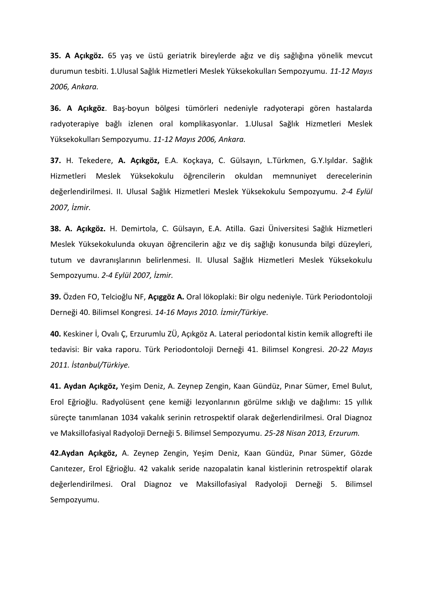**35. A Açıkgöz.** 65 yaş ve üstü geriatrik bireylerde ağız ve diş sağlığına yönelik mevcut durumun tesbiti. 1.Ulusal Sağlık Hizmetleri Meslek Yüksekokulları Sempozyumu. *11-12 Mayıs 2006, Ankara.*

**36. A Açıkgöz**. Baş-boyun bölgesi tümörleri nedeniyle radyoterapi gören hastalarda radyoterapiye bağlı izlenen oral komplikasyonlar. 1.Ulusal Sağlık Hizmetleri Meslek Yüksekokulları Sempozyumu. *11-12 Mayıs 2006, Ankara.*

**37.** H. Tekedere, **A. Açıkgöz,** E.A. Koçkaya, C. Gülsayın, L.Türkmen, G.Y.Işıldar. Sağlık Hizmetleri Meslek Yüksekokulu öğrencilerin okuldan memnuniyet derecelerinin değerlendirilmesi. II. Ulusal Sağlık Hizmetleri Meslek Yüksekokulu Sempozyumu. *2-4 Eylül 2007, İzmir.*

**38. A. Açıkgöz.** H. Demirtola, C. Gülsayın, E.A. Atilla. Gazi Üniversitesi Sağlık Hizmetleri Meslek Yüksekokulunda okuyan öğrencilerin ağız ve diş sağlığı konusunda bilgi düzeyleri, tutum ve davranışlarının belirlenmesi. II. Ulusal Sağlık Hizmetleri Meslek Yüksekokulu Sempozyumu. *2-4 Eylül 2007, İzmir.*

**39.** Özden FO, Telcioğlu NF, **Açıggöz A.** Oral lökoplaki: Bir olgu nedeniyle. Türk Periodontoloji Derneği 40. Bilimsel Kongresi. *14-16 Mayıs 2010. İzmir/Türkiye.*

**40.** Keskiner İ, Ovalı Ç, Erzurumlu ZÜ, Açıkgöz A. Lateral periodontal kistin kemik allogrefti ile tedavisi: Bir vaka raporu. Türk Periodontoloji Derneği 41. Bilimsel Kongresi. *20-22 Mayıs 2011. İstanbul/Türkiye.*

**41. Aydan Açıkgöz,** Yeşim Deniz, A. Zeynep Zengin, Kaan Gündüz, Pınar Sümer, Emel Bulut, Erol Eğrioğlu. Radyolüsent çene kemiği lezyonlarının görülme sıklığı ve dağılımı: 15 yıllık süreçte tanımlanan 1034 vakalık serinin retrospektif olarak değerlendirilmesi. Oral Diagnoz ve Maksillofasiyal Radyoloji Derneği 5. Bilimsel Sempozyumu. *25-28 Nisan 2013, Erzurum.*

**42.Aydan Açıkgöz,** A. Zeynep Zengin, Yeşim Deniz, Kaan Gündüz, Pınar Sümer, Gözde Canıtezer, Erol Eğrioğlu. 42 vakalık seride nazopalatin kanal kistlerinin retrospektif olarak değerlendirilmesi. Oral Diagnoz ve Maksillofasiyal Radyoloji Derneği 5. Bilimsel Sempozyumu.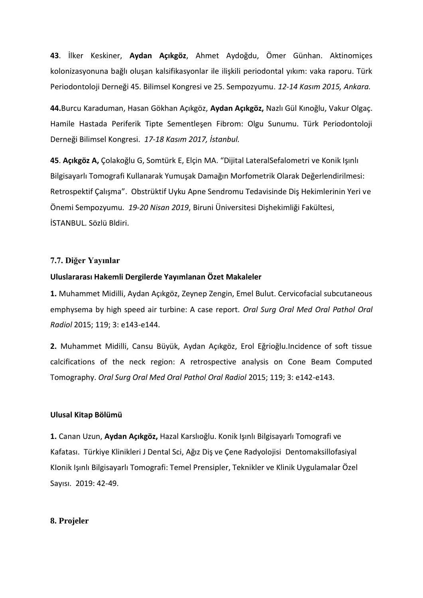**43**. İlker Keskiner, **Aydan Açıkgöz**, Ahmet Aydoğdu, Ömer Günhan. Aktinomiçes kolonizasyonuna bağlı oluşan kalsifikasyonlar ile ilişkili periodontal yıkım: vaka raporu. Türk Periodontoloji Derneği 45. Bilimsel Kongresi ve 25. Sempozyumu. *12-14 Kasım 2015, Ankara.*

**44.**Burcu Karaduman, Hasan Gökhan Açıkgöz, **Aydan Açıkgöz,** Nazlı Gül Kınoğlu, Vakur Olgaç. Hamile Hastada Periferik Tipte Sementleşen Fibrom: Olgu Sunumu. Türk Periodontoloji Derneği Bilimsel Kongresi. *17-18 Kasım 2017, İstanbul.*

**45**. **Açıkgöz A,** Çolakoğlu G, Somtürk E, Elçin MA. "Dijital LateralSefalometri ve Konik Işınlı Bilgisayarlı Tomografi Kullanarak Yumuşak Damağın Morfometrik Olarak Değerlendirilmesi: Retrospektif Çalışma". Obstrüktif Uyku Apne Sendromu Tedavisinde Diş Hekimlerinin Yeri ve Önemi Sempozyumu*. 19-20 Nisan 2019*, Biruni Üniversitesi Dişhekimliği Fakültesi, İSTANBUL. Sözlü Bldiri.

## **7.7. Diğer Yayınlar**

## **Uluslararası Hakemli Dergilerde Yayımlanan Özet Makaleler**

**1.** Muhammet Midilli, Aydan Açıkgöz, Zeynep Zengin, Emel Bulut. Cervicofacial subcutaneous emphysema by high speed air turbine: A case report. *Oral Surg Oral Med Oral Pathol Oral Radiol* 2015; 119; 3: e143-e144.

**2.** Muhammet Midilli, Cansu Büyük, Aydan Açıkgöz, Erol Eğrioğlu.Incidence of soft tissue calcifications of the neck region: A retrospective analysis on Cone Beam Computed Tomography. *Oral Surg Oral Med Oral Pathol Oral Radiol* 2015; 119; 3: e142-e143.

### **Ulusal Kitap Bölümü**

**1.** Canan Uzun, **Aydan Açıkgöz,** Hazal Karslıoğlu. Konik Işınlı Bilgisayarlı Tomografi ve Kafatası. Türkiye Klinikleri J Dental Sci, Ağız Diş ve Çene Radyolojisi Dentomaksillofasiyal KIonik Işınlı Bilgisayarlı Tomografi: Temel Prensipler, Teknikler ve Klinik Uygulamalar Özel Sayısı. 2019: 42-49.

### **8. Projeler**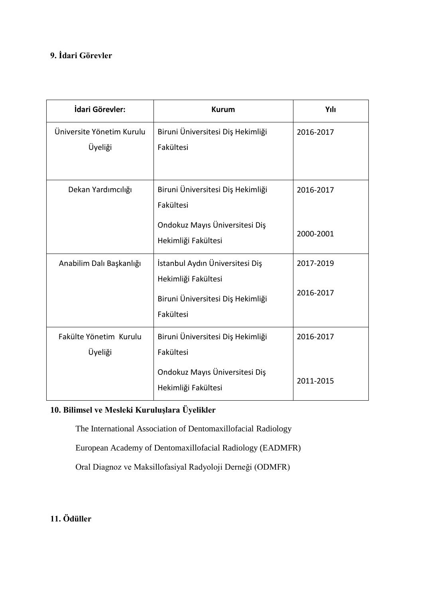# **9. İdari Görevler**

| İdari Görevler:                      | <b>Kurum</b>                                                                     | Yılı      |
|--------------------------------------|----------------------------------------------------------------------------------|-----------|
| Üniversite Yönetim Kurulu<br>Üyeliği | Biruni Üniversitesi Diş Hekimliği<br>Fakültesi                                   | 2016-2017 |
| Dekan Yardımcılığı                   | Biruni Üniversitesi Diş Hekimliği<br>Fakültesi<br>Ondokuz Mayıs Üniversitesi Diş | 2016-2017 |
|                                      | Hekimliği Fakültesi                                                              | 2000-2001 |
| Anabilim Dalı Başkanlığı             | İstanbul Aydın Üniversitesi Diş<br>Hekimliği Fakültesi                           | 2017-2019 |
|                                      | Biruni Üniversitesi Diş Hekimliği<br>Fakültesi                                   | 2016-2017 |
| Fakülte Yönetim Kurulu<br>Üyeliği    | Biruni Üniversitesi Diş Hekimliği<br>Fakültesi                                   | 2016-2017 |
|                                      | Ondokuz Mayıs Üniversitesi Diş<br>Hekimliği Fakültesi                            | 2011-2015 |

# **10. Bilimsel ve Mesleki Kuruluşlara Üyelikler**

The International Association of Dentomaxillofacial Radiology

European Academy of Dentomaxillofacial Radiology (EADMFR)

Oral Diagnoz ve Maksillofasiyal Radyoloji Derneği (ODMFR)

**11. Ödüller**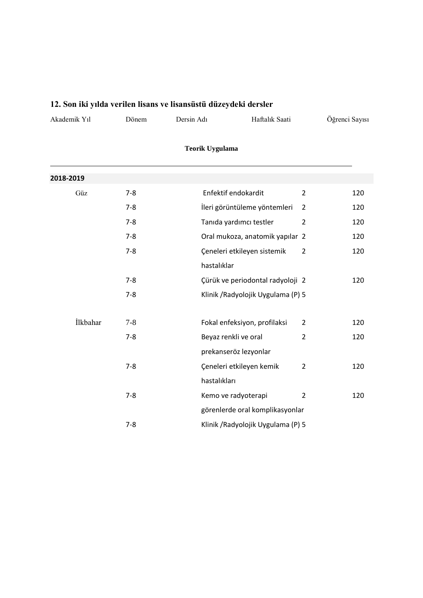# **12. Son iki yılda verilen lisans ve lisansüstü düzeydeki dersler**

| Haftalık Saati<br>Dersin Adı<br>Jonem | Akademik Yıl |  |  |  | Oğrenci Savısı |
|---------------------------------------|--------------|--|--|--|----------------|
|---------------------------------------|--------------|--|--|--|----------------|

# **Teorik Uygulama**

| 2018-2019 |         |                                    |                |     |
|-----------|---------|------------------------------------|----------------|-----|
| Güz       | $7 - 8$ | Enfektif endokardit                | $\overline{2}$ | 120 |
|           | $7 - 8$ | İleri görüntüleme yöntemleri       | 2              | 120 |
|           | $7 - 8$ | Tanıda yardımcı testler            | $\overline{2}$ | 120 |
|           | $7 - 8$ | Oral mukoza, anatomik yapılar 2    |                | 120 |
|           | $7 - 8$ | Çeneleri etkileyen sistemik        | 2              | 120 |
|           |         | hastalıklar                        |                |     |
|           | $7 - 8$ | Çürük ve periodontal radyoloji 2   |                | 120 |
|           | $7 - 8$ | Klinik / Radyolojik Uygulama (P) 5 |                |     |
|           |         |                                    |                |     |
| İlkbahar  | $7 - 8$ | Fokal enfeksiyon, profilaksi       | $\overline{2}$ | 120 |
|           | $7 - 8$ | Beyaz renkli ve oral               | $\overline{2}$ | 120 |
|           |         | prekanseröz lezyonlar              |                |     |
|           | $7 - 8$ | Çeneleri etkileyen kemik           | $\overline{2}$ | 120 |
|           |         | hastalıkları                       |                |     |
|           | $7 - 8$ | Kemo ve radyoterapi                | $\overline{2}$ | 120 |
|           |         | görenlerde oral komplikasyonlar    |                |     |
|           | $7 - 8$ | Klinik / Radyolojik Uygulama (P) 5 |                |     |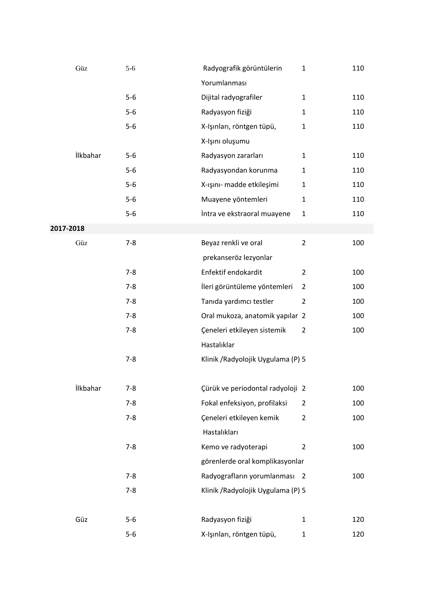|           | Güz             | $5 - 6$ | Radyografik görüntülerin           | $\mathbf{1}$   | 110 |
|-----------|-----------------|---------|------------------------------------|----------------|-----|
|           |                 |         | Yorumlanması                       |                |     |
|           |                 | $5-6$   | Dijital radyografiler              | $\mathbf{1}$   | 110 |
|           |                 | $5-6$   | Radyasyon fiziği                   | $\mathbf{1}$   | 110 |
|           |                 | $5-6$   | X-Işınları, röntgen tüpü,          | $\mathbf{1}$   | 110 |
|           |                 |         | X-Işını oluşumu                    |                |     |
|           | İlkbahar        | $5-6$   | Radyasyon zararları                | $\mathbf{1}$   | 110 |
|           |                 | $5-6$   | Radyasyondan korunma               | $\mathbf{1}$   | 110 |
|           |                 | $5-6$   | X-ışını- madde etkileşimi          | $\mathbf{1}$   | 110 |
|           |                 | $5-6$   | Muayene yöntemleri                 | $\mathbf{1}$   | 110 |
|           |                 | $5-6$   | İntra ve ekstraoral muayene        | $\mathbf{1}$   | 110 |
| 2017-2018 |                 |         |                                    |                |     |
|           | Güz             | $7 - 8$ | Beyaz renkli ve oral               | $\overline{2}$ | 100 |
|           |                 |         | prekanseröz lezyonlar              |                |     |
|           |                 | $7 - 8$ | Enfektif endokardit                | $\overline{2}$ | 100 |
|           |                 | $7 - 8$ | İleri görüntüleme yöntemleri       | $\overline{2}$ | 100 |
|           |                 | $7 - 8$ | Tanıda yardımcı testler            | $\overline{2}$ | 100 |
|           |                 | $7 - 8$ | Oral mukoza, anatomik yapılar 2    |                | 100 |
|           |                 | $7 - 8$ | Çeneleri etkileyen sistemik        | $\overline{2}$ | 100 |
|           |                 |         | Hastalıklar                        |                |     |
|           |                 | $7 - 8$ | Klinik / Radyolojik Uygulama (P) 5 |                |     |
|           |                 |         |                                    |                |     |
|           | <b>İlkbahar</b> | $7 - 8$ | Çürük ve periodontal radyoloji 2   |                | 100 |
|           |                 | $7 - 8$ | Fokal enfeksiyon, profilaksi       | $\overline{2}$ | 100 |
|           |                 | $7 - 8$ | Çeneleri etkileyen kemik           | $\overline{2}$ | 100 |
|           |                 |         | Hastalıkları                       |                |     |
|           |                 | $7 - 8$ | Kemo ve radyoterapi                | $\overline{2}$ | 100 |
|           |                 |         | görenlerde oral komplikasyonlar    |                |     |
|           |                 | $7 - 8$ | Radyografların yorumlanması 2      |                | 100 |
|           |                 | $7 - 8$ | Klinik / Radyolojik Uygulama (P) 5 |                |     |
|           |                 |         |                                    |                |     |
|           | Güz             | $5-6$   | Radyasyon fiziği                   | $\mathbf{1}$   | 120 |
|           |                 | $5-6$   | X-Işınları, röntgen tüpü,          | $\mathbf{1}$   | 120 |